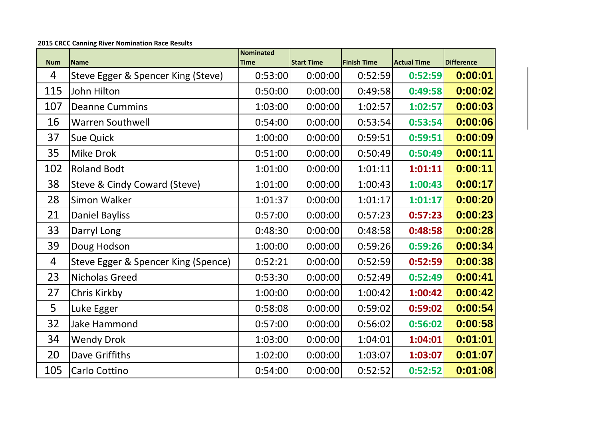| <b>Num</b> | <b>Name</b>                         | Nominated<br><b>Time</b> | <b>Start Time</b> | <b>Finish Time</b> | <b>Actual Time</b> | <b>Difference</b> |
|------------|-------------------------------------|--------------------------|-------------------|--------------------|--------------------|-------------------|
| 4          | Steve Egger & Spencer King (Steve)  | 0:53:00                  | 0:00:00           | 0:52:59            | 0:52:59            | 0:00:01           |
| 115        | John Hilton                         | 0:50:00                  | 0:00:00           | 0:49:58            | 0:49:58            | 0:00:02           |
| 107        | <b>Deanne Cummins</b>               | 1:03:00                  | 0:00:00           | 1:02:57            | 1:02:57            | 0:00:03           |
| 16         | <b>Warren Southwell</b>             | 0:54:00                  | 0:00:00           | 0:53:54            | 0:53:54            | 0:00:06           |
| 37         | <b>Sue Quick</b>                    | 1:00:00                  | 0:00:00           | 0:59:51            | 0:59:51            | 0:00:09           |
| 35         | <b>Mike Drok</b>                    | 0:51:00                  | 0:00:00           | 0:50:49            | 0:50:49            | 0:00:11           |
| 102        | <b>Roland Bodt</b>                  | 1:01:00                  | 0:00:00           | 1:01:11            | 1:01:11            | 0:00:11           |
| 38         | Steve & Cindy Coward (Steve)        | 1:01:00                  | 0:00:00           | 1:00:43            | 1:00:43            | 0:00:17           |
| 28         | Simon Walker                        | 1:01:37                  | 0:00:00           | 1:01:17            | 1:01:17            | 0:00:20           |
| 21         | <b>Daniel Bayliss</b>               | 0:57:00                  | 0:00:00           | 0:57:23            | 0:57:23            | 0:00:23           |
| 33         | Darryl Long                         | 0:48:30                  | 0:00:00           | 0:48:58            | 0:48:58            | 0:00:28           |
| 39         | Doug Hodson                         | 1:00:00                  | 0:00:00           | 0:59:26            | 0:59:26            | 0:00:34           |
| 4          | Steve Egger & Spencer King (Spence) | 0:52:21                  | 0:00:00           | 0:52:59            | 0:52:59            | 0:00:38           |
| 23         | <b>Nicholas Greed</b>               | 0:53:30                  | 0:00:00           | 0:52:49            | 0:52:49            | 0:00:41           |
| 27         | Chris Kirkby                        | 1:00:00                  | 0:00:00           | 1:00:42            | 1:00:42            | 0:00:42           |
| 5          | Luke Egger                          | 0:58:08                  | 0:00:00           | 0:59:02            | 0:59:02            | 0:00:54           |
| 32         | Jake Hammond                        | 0:57:00                  | 0:00:00           | 0:56:02            | 0:56:02            | 0:00:58           |
| 34         | <b>Wendy Drok</b>                   | 1:03:00                  | 0:00:00           | 1:04:01            | 1:04:01            | 0:01:01           |
| 20         | Dave Griffiths                      | 1:02:00                  | 0:00:00           | 1:03:07            | 1:03:07            | 0:01:07           |
| 105        | Carlo Cottino                       | 0:54:00                  | 0:00:00           | 0:52:52            | 0:52:52            | 0:01:08           |

**2015 CRCC Canning River Nomination Race Results**